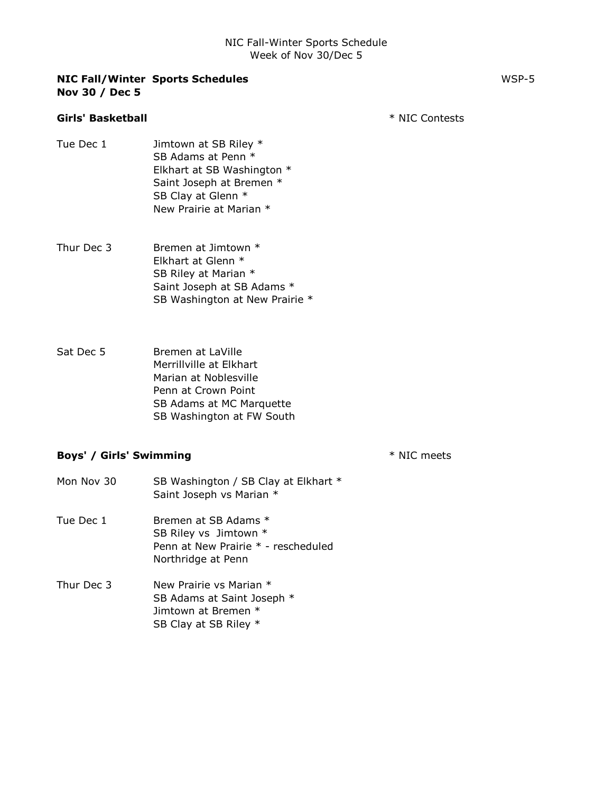|                | <b>NIC Fall/Winter Sports Schedules</b> | WSP-5 |
|----------------|-----------------------------------------|-------|
| Nov 30 / Dec 5 |                                         |       |

# Girls' Basketball **And Account Contests** \* NIC Contests

- Tue Dec 1 Jimtown at SB Riley \* SB Adams at Penn \* Elkhart at SB Washington \* Saint Joseph at Bremen \* SB Clay at Glenn \* New Prairie at Marian \*
- Thur Dec 3 Bremen at Jimtown \* Elkhart at Glenn \* SB Riley at Marian \* Saint Joseph at SB Adams \* SB Washington at New Prairie \*
- Sat Dec 5 Bremen at LaVille Merrillville at Elkhart Marian at Noblesville Penn at Crown Point SB Adams at MC Marquette SB Washington at FW South

#### Boys' / Girls' Swimming  $*$  NIC meets

Mon Nov 30 SB Washington / SB Clay at Elkhart \* Saint Joseph vs Marian \* Tue Dec 1 Bremen at SB Adams \* SB Riley vs Jimtown \* Penn at New Prairie \* - rescheduled Northridge at Penn Thur Dec 3 New Prairie vs Marian \* SB Adams at Saint Joseph \* Jimtown at Bremen \*

SB Clay at SB Riley \*